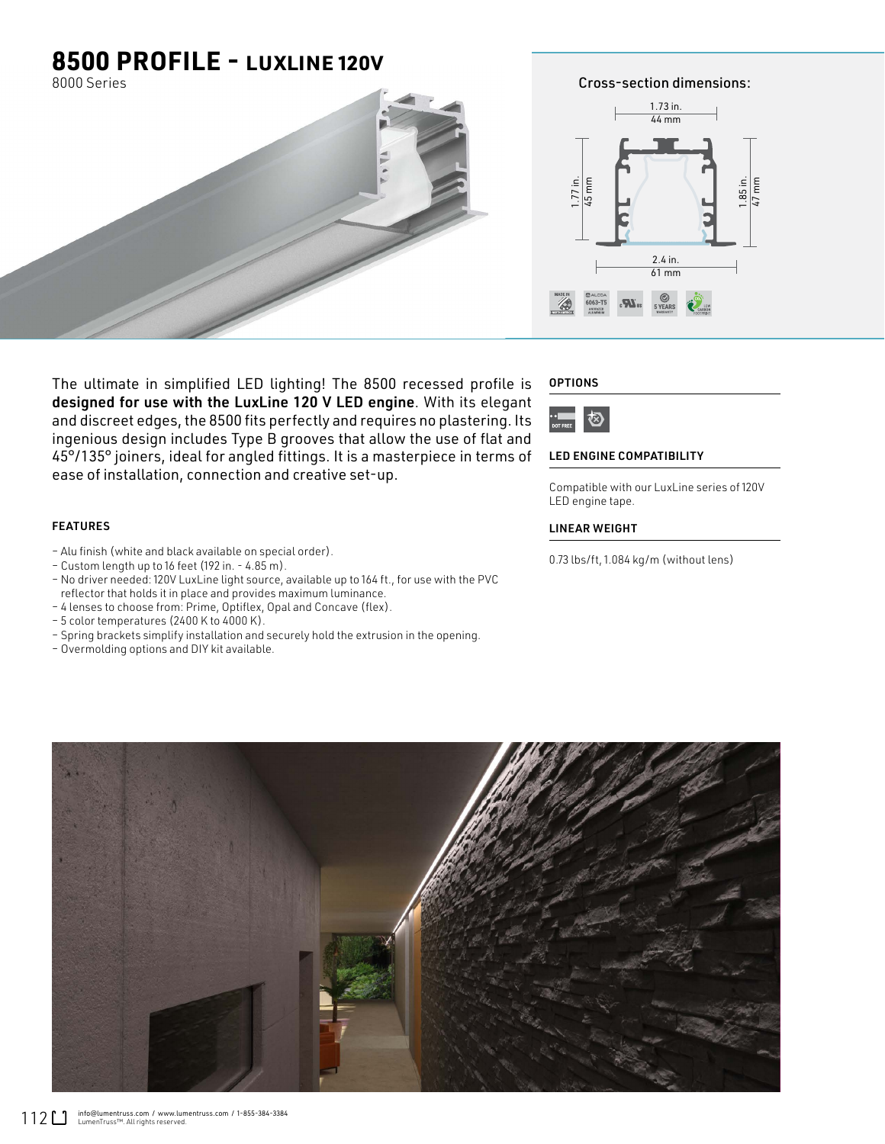### **8500 PROFILE -** LUXLINE 120V

8000 Series



Cross-section dimensions: 1.73 in. 44 mm

47 mm



The ultimate in simplified LED lighting! The 8500 recessed profile is designed for use with the LuxLine 120 V LED engine. With its elegant and discreet edges, the 8500 fits perfectly and requires no plastering. Its ingenious design includes Type B grooves that allow the use of flat and 45°/135° joiners, ideal for angled fittings. It is a masterpiece in terms of ease of installation, connection and creative set-up.

#### FEATURES

- Alu finish (white and black available on special order).
- Custom length up to 16 feet (192 in. 4.85 m).
- No driver needed: 120V LuxLine light source, available up to 164 ft., for use with the PVC reflector that holds it in place and provides maximum luminance.
- 4 lenses to choose from: Prime, Optiflex, Opal and Concave (flex).
- 5 color temperatures (2400 K to 4000 K).
- Spring brackets simplify installation and securely hold the extrusion in the opening.
- Overmolding options and DIY kit available.

#### **OPTIONS**



#### LED ENGINE COMPATIBILITY

Compatible with our LuxLine series of 120V LED engine tape.

#### LINEAR WEIGHT

0.73 lbs/ft, 1.084 kg/m (without lens)